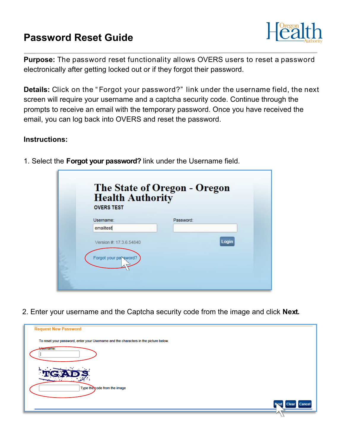## **Password Reset Guide**



**Purpose:** The password reset functionality allows OVERS users to reset a password electronically after getting locked out or if they forgot their password.

**Details:** Click on the " Forgot your password?" link under the username field, the next screen will require your username and a captcha security code. Continue through the prompts to receive an email with the temporary password. Once you have received the email, you can log back into OVERS and reset the password.

## **Instructions:**

| <b>Health Authority</b><br><b>OVERS TEST</b> |           |  |
|----------------------------------------------|-----------|--|
| Username:                                    | Password: |  |
| emailtest                                    |           |  |
| Version #: 17.3.6.54840                      | Login     |  |
| Forgot your parsword?                        |           |  |

1. Select the **Forgot your password?** link under the Username field.

2. Enter your username and the Captcha security code from the image and click **Next.**

| <b>Request New Password</b>                                                          |                                        |
|--------------------------------------------------------------------------------------|----------------------------------------|
| To reset your password, enter your Username and the characters in the picture below. |                                        |
| Username:                                                                            |                                        |
|                                                                                      |                                        |
| Type the code from the image                                                         |                                        |
|                                                                                      | Cance<br>$\frac{1}{2}$<br><b>Clear</b> |
|                                                                                      |                                        |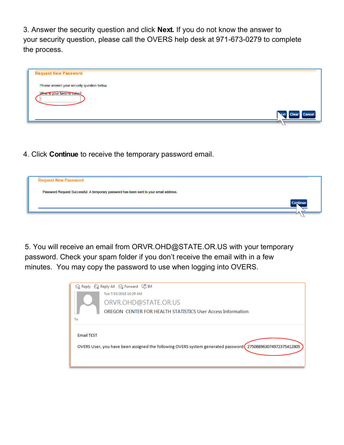3. Answer the security question and click **Next.** If you do not know the answer to your security question, please call the OVERS help desk at 971-673-0279 to complete the process.

| Please answer your security question below. |                                       |
|---------------------------------------------|---------------------------------------|
| What is your favorite color?                |                                       |
|                                             | Cancel<br><b>Clear</b><br><b>Next</b> |

4. Click **Continue** to receive the temporary password email.



5. You will receive an email from ORVR.OHD@STATE.OR.US with your temporary password. Check your spam folder if you don't receive the email with in a few minutes. You may copy the password to use when logging into OVERS.